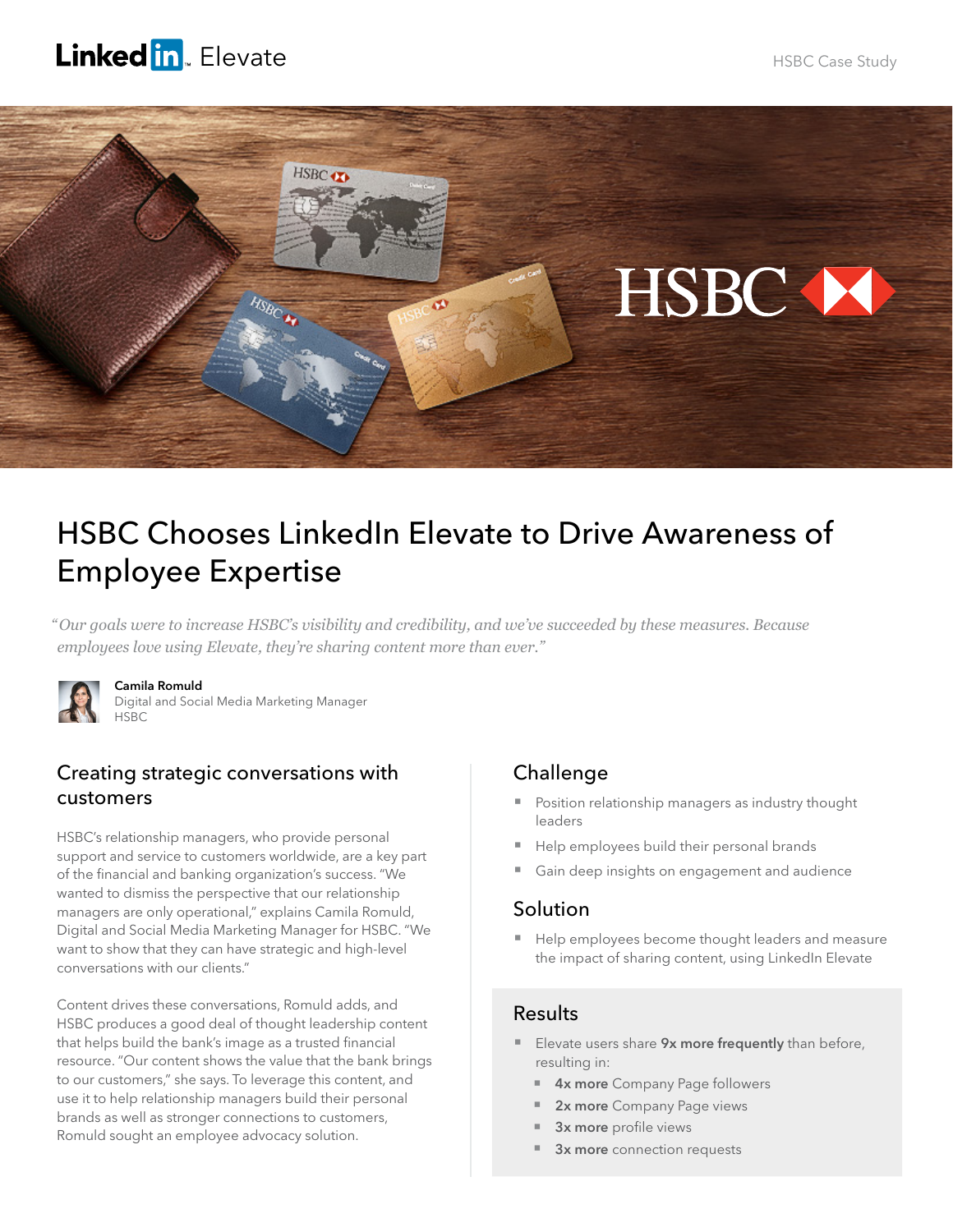# Linked in Elevate



# HSBC Chooses LinkedIn Elevate to Drive Awareness of Employee Expertise

*" Our goals were to increase HSBC's visibility and credibility, and we've succeeded by these measures. Because employees love using Elevate, they're sharing content more than ever."* 



#### Camila Romuld

Digital and Social Media Marketing Manager HSBC

### Creating strategic conversations with customers

HSBC's relationship managers, who provide personal support and service to customers worldwide, are a key part of the financial and banking organization's success. "We wanted to dismiss the perspective that our relationship managers are only operational," explains Camila Romuld, Digital and Social Media Marketing Manager for HSBC. "We want to show that they can have strategic and high-level conversations with our clients."

Content drives these conversations, Romuld adds, and HSBC produces a good deal of thought leadership content that helps build the bank's image as a trusted financial resource. "Our content shows the value that the bank brings to our customers," she says. To leverage this content, and use it to help relationship managers build their personal brands as well as stronger connections to customers, Romuld sought an employee advocacy solution.

# Challenge

- Position relationship managers as industry thought leaders
- Help employees build their personal brands
- Gain deep insights on engagement and audience

#### Solution

Help employees become thought leaders and measure the impact of sharing content, using LinkedIn Elevate

# **Results**

- Elevate users share 9x more frequently than before, resulting in:
	- **4x more** Company Page followers
	- 2x more Company Page views
	- 3x more profile views
	- 3x more connection requests